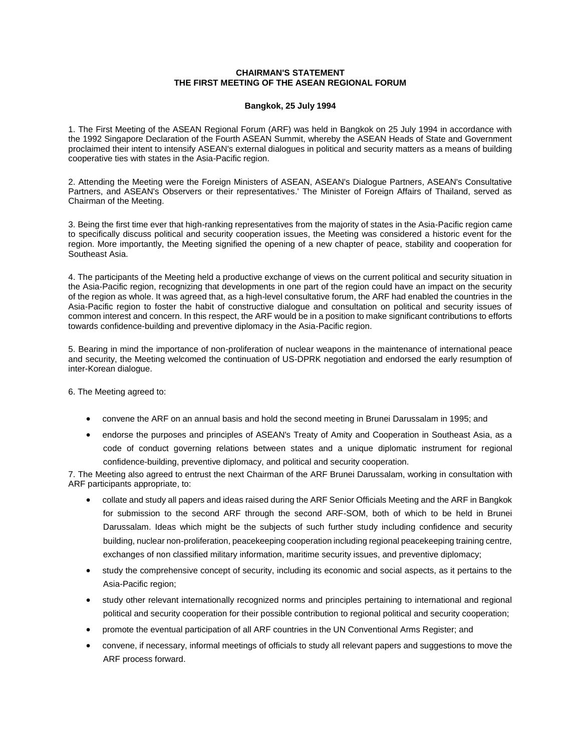## **CHAIRMAN'S STATEMENT THE FIRST MEETING OF THE ASEAN REGIONAL FORUM**

## **Bangkok, 25 July 1994**

1. The First Meeting of the ASEAN Regional Forum (ARF) was held in Bangkok on 25 July 1994 in accordance with the 1992 Singapore Declaration of the Fourth ASEAN Summit, whereby the ASEAN Heads of State and Government proclaimed their intent to intensify ASEAN's external dialogues in political and security matters as a means of building cooperative ties with states in the Asia-Pacific region.

2. Attending the Meeting were the Foreign Ministers of ASEAN, ASEAN's Dialogue Partners, ASEAN's Consultative Partners, and ASEAN's Observers or their representatives.' The Minister of Foreign Affairs of Thailand, served as Chairman of the Meeting.

3. Being the first time ever that high-ranking representatives from the majority of states in the Asia-Pacific region came to specifically discuss political and security cooperation issues, the Meeting was considered a historic event for the region. More importantly, the Meeting signified the opening of a new chapter of peace, stability and cooperation for Southeast Asia.

4. The participants of the Meeting held a productive exchange of views on the current political and security situation in the Asia-Pacific region, recognizing that developments in one part of the region could have an impact on the security of the region as whole. It was agreed that, as a high-level consultative forum, the ARF had enabled the countries in the Asia-Pacific region to foster the habit of constructive dialogue and consultation on political and security issues of common interest and concern. In this respect, the ARF would be in a position to make significant contributions to efforts towards confidence-building and preventive diplomacy in the Asia-Pacific region.

5. Bearing in mind the importance of non-proliferation of nuclear weapons in the maintenance of international peace and security, the Meeting welcomed the continuation of US-DPRK negotiation and endorsed the early resumption of inter-Korean dialogue.

6. The Meeting agreed to:

- convene the ARF on an annual basis and hold the second meeting in Brunei Darussalam in 1995; and
- endorse the purposes and principles of ASEAN's Treaty of Amity and Cooperation in Southeast Asia, as a code of conduct governing relations between states and a unique diplomatic instrument for regional confidence-building, preventive diplomacy, and political and security cooperation.

7. The Meeting also agreed to entrust the next Chairman of the ARF Brunei Darussalam, working in consultation with ARF participants appropriate, to:

- collate and study all papers and ideas raised during the ARF Senior Officials Meeting and the ARF in Bangkok for submission to the second ARF through the second ARF-SOM, both of which to be held in Brunei Darussalam. Ideas which might be the subjects of such further study including confidence and security building, nuclear non-proliferation, peacekeeping cooperation including regional peacekeeping training centre, exchanges of non classified military information, maritime security issues, and preventive diplomacy;
- study the comprehensive concept of security, including its economic and social aspects, as it pertains to the Asia-Pacific region;
- study other relevant internationally recognized norms and principles pertaining to international and regional political and security cooperation for their possible contribution to regional political and security cooperation;
- promote the eventual participation of all ARF countries in the UN Conventional Arms Register; and
- convene, if necessary, informal meetings of officials to study all relevant papers and suggestions to move the ARF process forward.